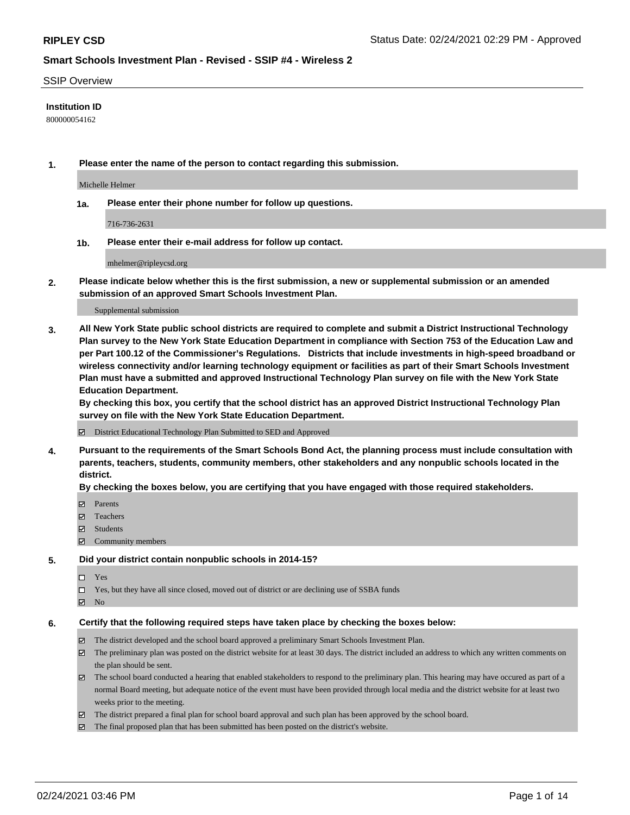### SSIP Overview

## **Institution ID**

800000054162

**1. Please enter the name of the person to contact regarding this submission.**

Michelle Helmer

**1a. Please enter their phone number for follow up questions.**

716-736-2631

**1b. Please enter their e-mail address for follow up contact.**

mhelmer@ripleycsd.org

**2. Please indicate below whether this is the first submission, a new or supplemental submission or an amended submission of an approved Smart Schools Investment Plan.**

#### Supplemental submission

**3. All New York State public school districts are required to complete and submit a District Instructional Technology Plan survey to the New York State Education Department in compliance with Section 753 of the Education Law and per Part 100.12 of the Commissioner's Regulations. Districts that include investments in high-speed broadband or wireless connectivity and/or learning technology equipment or facilities as part of their Smart Schools Investment Plan must have a submitted and approved Instructional Technology Plan survey on file with the New York State Education Department.** 

**By checking this box, you certify that the school district has an approved District Instructional Technology Plan survey on file with the New York State Education Department.**

District Educational Technology Plan Submitted to SED and Approved

**4. Pursuant to the requirements of the Smart Schools Bond Act, the planning process must include consultation with parents, teachers, students, community members, other stakeholders and any nonpublic schools located in the district.** 

### **By checking the boxes below, you are certifying that you have engaged with those required stakeholders.**

- **Ø** Parents
- Teachers
- Students
- Community members

### **5. Did your district contain nonpublic schools in 2014-15?**

- □ Yes
- □ Yes, but they have all since closed, moved out of district or are declining use of SSBA funds
- **Ø** No

### **6. Certify that the following required steps have taken place by checking the boxes below:**

- The district developed and the school board approved a preliminary Smart Schools Investment Plan.
- The preliminary plan was posted on the district website for at least 30 days. The district included an address to which any written comments on the plan should be sent.
- The school board conducted a hearing that enabled stakeholders to respond to the preliminary plan. This hearing may have occured as part of a normal Board meeting, but adequate notice of the event must have been provided through local media and the district website for at least two weeks prior to the meeting.
- The district prepared a final plan for school board approval and such plan has been approved by the school board.
- $\boxtimes$  The final proposed plan that has been submitted has been posted on the district's website.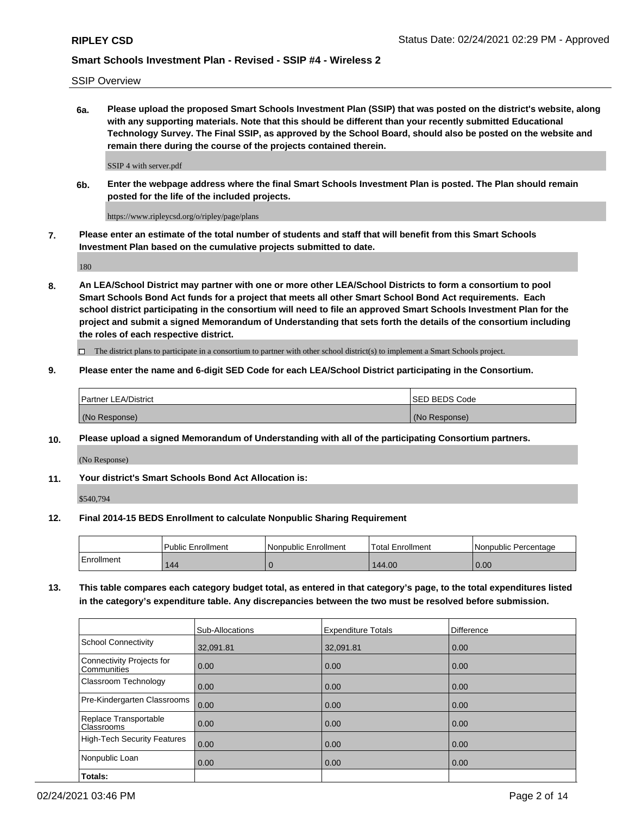SSIP Overview

**6a. Please upload the proposed Smart Schools Investment Plan (SSIP) that was posted on the district's website, along with any supporting materials. Note that this should be different than your recently submitted Educational Technology Survey. The Final SSIP, as approved by the School Board, should also be posted on the website and remain there during the course of the projects contained therein.**

SSIP 4 with server.pdf

**6b. Enter the webpage address where the final Smart Schools Investment Plan is posted. The Plan should remain posted for the life of the included projects.**

https://www.ripleycsd.org/o/ripley/page/plans

**7. Please enter an estimate of the total number of students and staff that will benefit from this Smart Schools Investment Plan based on the cumulative projects submitted to date.**

180

**8. An LEA/School District may partner with one or more other LEA/School Districts to form a consortium to pool Smart Schools Bond Act funds for a project that meets all other Smart School Bond Act requirements. Each school district participating in the consortium will need to file an approved Smart Schools Investment Plan for the project and submit a signed Memorandum of Understanding that sets forth the details of the consortium including the roles of each respective district.**

 $\Box$  The district plans to participate in a consortium to partner with other school district(s) to implement a Smart Schools project.

## **9. Please enter the name and 6-digit SED Code for each LEA/School District participating in the Consortium.**

| Partner LEA/District | <b>ISED BEDS Code</b> |
|----------------------|-----------------------|
| (No Response)        | (No Response)         |

### **10. Please upload a signed Memorandum of Understanding with all of the participating Consortium partners.**

(No Response)

**11. Your district's Smart Schools Bond Act Allocation is:**

\$540,794

### **12. Final 2014-15 BEDS Enrollment to calculate Nonpublic Sharing Requirement**

|            | <b>Public Enrollment</b> | Nonpublic Enrollment | <b>Total Enrollment</b> | l Nonpublic Percentage |
|------------|--------------------------|----------------------|-------------------------|------------------------|
| Enrollment | 144                      |                      | 144.00                  | 0.00                   |

**13. This table compares each category budget total, as entered in that category's page, to the total expenditures listed in the category's expenditure table. Any discrepancies between the two must be resolved before submission.**

|                                          | Sub-Allocations | <b>Expenditure Totals</b> | <b>Difference</b> |
|------------------------------------------|-----------------|---------------------------|-------------------|
| <b>School Connectivity</b>               | 32,091.81       | 32,091.81                 | 0.00              |
| Connectivity Projects for<br>Communities | 0.00            | 0.00                      | 0.00              |
| Classroom Technology                     | 0.00            | 0.00                      | 0.00              |
| Pre-Kindergarten Classrooms              | 0.00            | 0.00                      | 0.00              |
| Replace Transportable<br>Classrooms      | 0.00            | 0.00                      | 0.00              |
| High-Tech Security Features              | 0.00            | 0.00                      | 0.00              |
| Nonpublic Loan                           | 0.00            | 0.00                      | 0.00              |
| Totals:                                  |                 |                           |                   |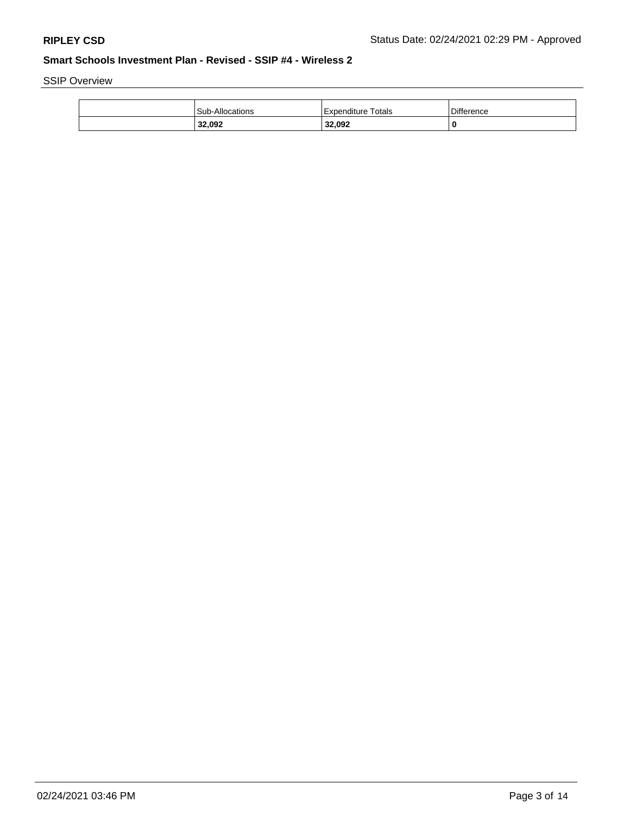SSIP Overview

| 32,092          | 32,092               |                   |
|-----------------|----------------------|-------------------|
| Sub-Allocations | l Expenditure Totals | <b>Difference</b> |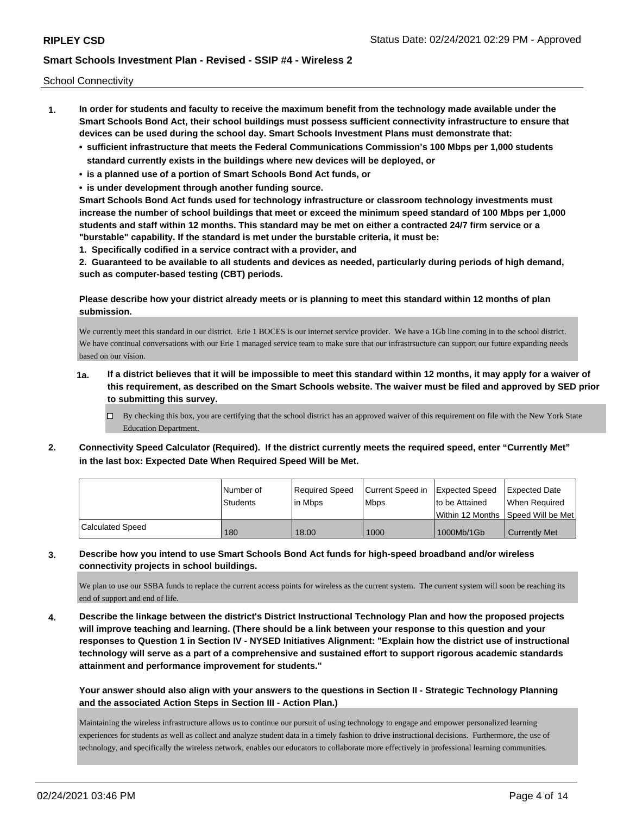School Connectivity

- **1. In order for students and faculty to receive the maximum benefit from the technology made available under the Smart Schools Bond Act, their school buildings must possess sufficient connectivity infrastructure to ensure that devices can be used during the school day. Smart Schools Investment Plans must demonstrate that:**
	- **• sufficient infrastructure that meets the Federal Communications Commission's 100 Mbps per 1,000 students standard currently exists in the buildings where new devices will be deployed, or**
	- **• is a planned use of a portion of Smart Schools Bond Act funds, or**
	- **• is under development through another funding source.**

**Smart Schools Bond Act funds used for technology infrastructure or classroom technology investments must increase the number of school buildings that meet or exceed the minimum speed standard of 100 Mbps per 1,000 students and staff within 12 months. This standard may be met on either a contracted 24/7 firm service or a "burstable" capability. If the standard is met under the burstable criteria, it must be:**

**1. Specifically codified in a service contract with a provider, and**

**2. Guaranteed to be available to all students and devices as needed, particularly during periods of high demand, such as computer-based testing (CBT) periods.**

**Please describe how your district already meets or is planning to meet this standard within 12 months of plan submission.**

We currently meet this standard in our district. Erie 1 BOCES is our internet service provider. We have a 1Gb line coming in to the school district. We have continual conversations with our Erie 1 managed service team to make sure that our infrastrsucture can support our future expanding needs based on our vision.

- **1a. If a district believes that it will be impossible to meet this standard within 12 months, it may apply for a waiver of this requirement, as described on the Smart Schools website. The waiver must be filed and approved by SED prior to submitting this survey.**
	- $\Box$  By checking this box, you are certifying that the school district has an approved waiver of this requirement on file with the New York State Education Department.
- **2. Connectivity Speed Calculator (Required). If the district currently meets the required speed, enter "Currently Met" in the last box: Expected Date When Required Speed Will be Met.**

|                         | I Number of     | Required Speed | Current Speed in | <b>Expected Speed</b>                | Expected Date        |
|-------------------------|-----------------|----------------|------------------|--------------------------------------|----------------------|
|                         | <b>Students</b> | in Mbps        | <b>Mbps</b>      | to be Attained                       | When Required        |
|                         |                 |                |                  | Within 12 Months 1Speed Will be Met1 |                      |
| <b>Calculated Speed</b> | 180             | 18.00          | 1000             | 1000Mb/1Gb                           | <b>Currently Met</b> |

**3. Describe how you intend to use Smart Schools Bond Act funds for high-speed broadband and/or wireless connectivity projects in school buildings.**

We plan to use our SSBA funds to replace the current access points for wireless as the current system. The current system will soon be reaching its end of support and end of life.

**4. Describe the linkage between the district's District Instructional Technology Plan and how the proposed projects will improve teaching and learning. (There should be a link between your response to this question and your responses to Question 1 in Section IV - NYSED Initiatives Alignment: "Explain how the district use of instructional technology will serve as a part of a comprehensive and sustained effort to support rigorous academic standards attainment and performance improvement for students."** 

**Your answer should also align with your answers to the questions in Section II - Strategic Technology Planning and the associated Action Steps in Section III - Action Plan.)**

Maintaining the wireless infrastructure allows us to continue our pursuit of using technology to engage and empower personalized learning experiences for students as well as collect and analyze student data in a timely fashion to drive instructional decisions. Furthermore, the use of technology, and specifically the wireless network, enables our educators to collaborate more effectively in professional learning communities.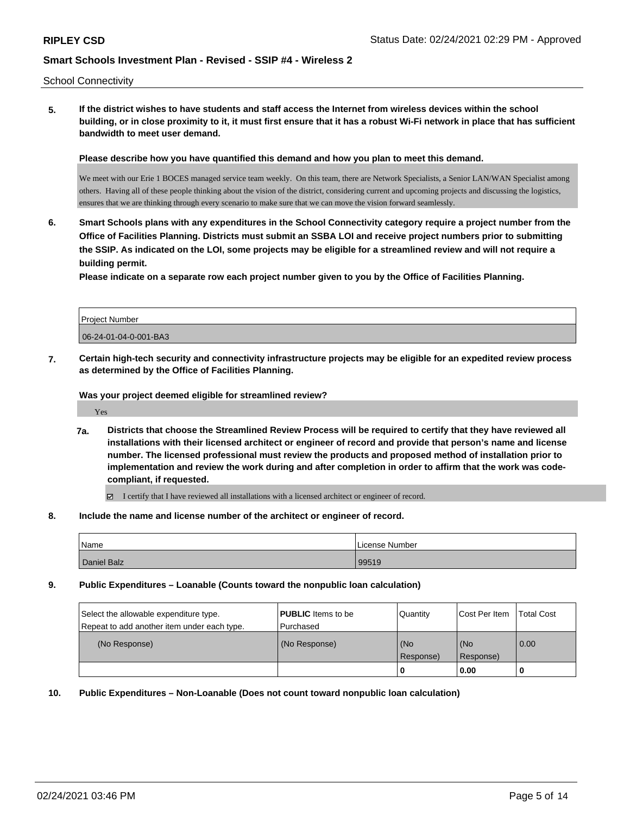School Connectivity

**5. If the district wishes to have students and staff access the Internet from wireless devices within the school building, or in close proximity to it, it must first ensure that it has a robust Wi-Fi network in place that has sufficient bandwidth to meet user demand.**

**Please describe how you have quantified this demand and how you plan to meet this demand.**

We meet with our Erie 1 BOCES managed service team weekly. On this team, there are Network Specialists, a Senior LAN/WAN Specialist among others. Having all of these people thinking about the vision of the district, considering current and upcoming projects and discussing the logistics, ensures that we are thinking through every scenario to make sure that we can move the vision forward seamlessly.

**6. Smart Schools plans with any expenditures in the School Connectivity category require a project number from the Office of Facilities Planning. Districts must submit an SSBA LOI and receive project numbers prior to submitting the SSIP. As indicated on the LOI, some projects may be eligible for a streamlined review and will not require a building permit.**

**Please indicate on a separate row each project number given to you by the Office of Facilities Planning.**

| <b>Project Number</b> |  |
|-----------------------|--|
| 06-24-01-04-0-001-BA3 |  |

**7. Certain high-tech security and connectivity infrastructure projects may be eligible for an expedited review process as determined by the Office of Facilities Planning.**

**Was your project deemed eligible for streamlined review?**

Yes

**7a. Districts that choose the Streamlined Review Process will be required to certify that they have reviewed all installations with their licensed architect or engineer of record and provide that person's name and license number. The licensed professional must review the products and proposed method of installation prior to implementation and review the work during and after completion in order to affirm that the work was codecompliant, if requested.**

I certify that I have reviewed all installations with a licensed architect or engineer of record.

**8. Include the name and license number of the architect or engineer of record.**

| Name        | License Number |
|-------------|----------------|
| Daniel Balz | 99519          |

**9. Public Expenditures – Loanable (Counts toward the nonpublic loan calculation)**

| Select the allowable expenditure type.<br>Repeat to add another item under each type. | <b>PUBLIC</b> Items to be<br>l Purchased | Quantity         | Cost Per Item    | <b>Total Cost</b> |
|---------------------------------------------------------------------------------------|------------------------------------------|------------------|------------------|-------------------|
| (No Response)                                                                         | (No Response)                            | (No<br>Response) | (No<br>Response) | 0.00              |
|                                                                                       |                                          | u                | 0.00             |                   |

**10. Public Expenditures – Non-Loanable (Does not count toward nonpublic loan calculation)**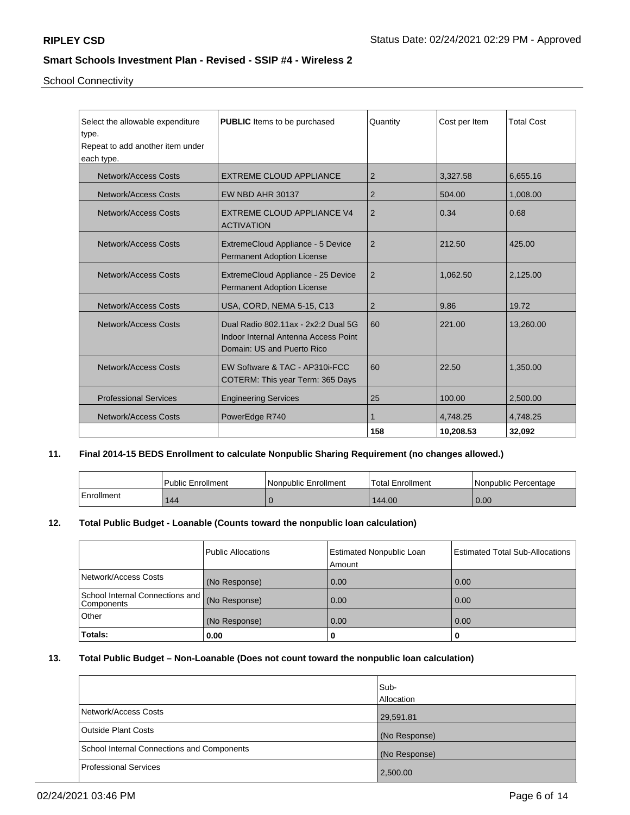School Connectivity

| Select the allowable expenditure | <b>PUBLIC</b> Items to be purchased  | Quantity       | Cost per Item | <b>Total Cost</b> |
|----------------------------------|--------------------------------------|----------------|---------------|-------------------|
| type.                            |                                      |                |               |                   |
| Repeat to add another item under |                                      |                |               |                   |
| each type.                       |                                      |                |               |                   |
| <b>Network/Access Costs</b>      | <b>EXTREME CLOUD APPLIANCE</b>       | $\overline{2}$ | 3,327.58      | 6,655.16          |
| Network/Access Costs             | <b>EW NBD AHR 30137</b>              | $\overline{2}$ | 504.00        | 1,008.00          |
| Network/Access Costs             | <b>EXTREME CLOUD APPLIANCE V4</b>    | 2              | 0.34          | 0.68              |
|                                  | <b>ACTIVATION</b>                    |                |               |                   |
| Network/Access Costs             | ExtremeCloud Appliance - 5 Device    | $\overline{2}$ | 212.50        | 425.00            |
|                                  | <b>Permanent Adoption License</b>    |                |               |                   |
|                                  |                                      |                |               |                   |
| Network/Access Costs             | ExtremeCloud Appliance - 25 Device   | $\overline{2}$ | 1,062.50      | 2,125.00          |
|                                  | <b>Permanent Adoption License</b>    |                |               |                   |
| <b>Network/Access Costs</b>      | USA, CORD, NEMA 5-15, C13            | 2              | 9.86          | 19.72             |
| Network/Access Costs             | Dual Radio 802.11ax - 2x2:2 Dual 5G  | 60             | 221.00        | 13,260.00         |
|                                  | Indoor Internal Antenna Access Point |                |               |                   |
|                                  | Domain: US and Puerto Rico           |                |               |                   |
|                                  |                                      |                |               |                   |
| Network/Access Costs             | EW Software & TAC - AP310i-FCC       | 60             | 22.50         | 1,350.00          |
|                                  | COTERM: This year Term: 365 Days     |                |               |                   |
| <b>Professional Services</b>     | <b>Engineering Services</b>          | 25             | 100.00        | 2,500.00          |
| Network/Access Costs             | PowerEdge R740                       |                | 4,748.25      | 4,748.25          |
|                                  |                                      | 158            | 10,208.53     | 32,092            |

# **11. Final 2014-15 BEDS Enrollment to calculate Nonpublic Sharing Requirement (no changes allowed.)**

|            | Public Enrollment | Nonpublic Enrollment | Total Enrollment | INonpublic Percentage |
|------------|-------------------|----------------------|------------------|-----------------------|
| Enrollment | 144               |                      | 144.00           | 0.00                  |

# **12. Total Public Budget - Loanable (Counts toward the nonpublic loan calculation)**

|                                               | Public Allocations | <b>Estimated Nonpublic Loan</b><br>Amount | <b>Estimated Total Sub-Allocations</b> |
|-----------------------------------------------|--------------------|-------------------------------------------|----------------------------------------|
| Network/Access Costs                          | (No Response)      | 0.00                                      | 0.00                                   |
| School Internal Connections and<br>Components | (No Response)      | 0.00                                      | 0.00                                   |
| Other                                         | (No Response)      | 0.00                                      | 0.00                                   |
| Totals:                                       | 0.00               |                                           | 0                                      |

# **13. Total Public Budget – Non-Loanable (Does not count toward the nonpublic loan calculation)**

|                                                   | Sub-<br><b>Allocation</b> |
|---------------------------------------------------|---------------------------|
| Network/Access Costs                              | 29,591.81                 |
| <b>Outside Plant Costs</b>                        | (No Response)             |
| <b>School Internal Connections and Components</b> | (No Response)             |
| Professional Services                             | 2,500.00                  |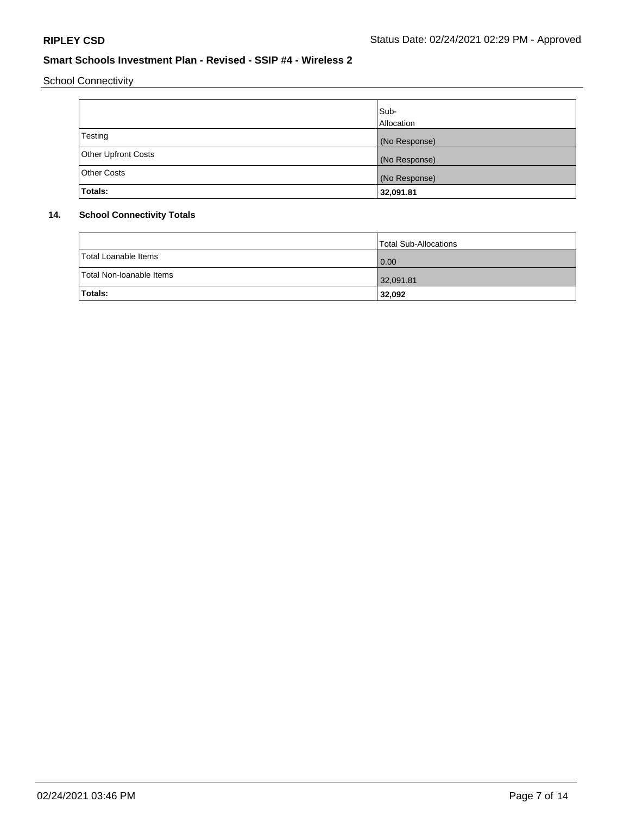School Connectivity

|                            | Sub-          |
|----------------------------|---------------|
|                            | Allocation    |
| Testing                    | (No Response) |
| <b>Other Upfront Costs</b> | (No Response) |
| <b>Other Costs</b>         | (No Response) |
| Totals:                    | 32,091.81     |

# **14. School Connectivity Totals**

|                          | Total Sub-Allocations |
|--------------------------|-----------------------|
| Total Loanable Items     | 0.00                  |
| Total Non-Ioanable Items | 32,091.81             |
| Totals:                  | 32,092                |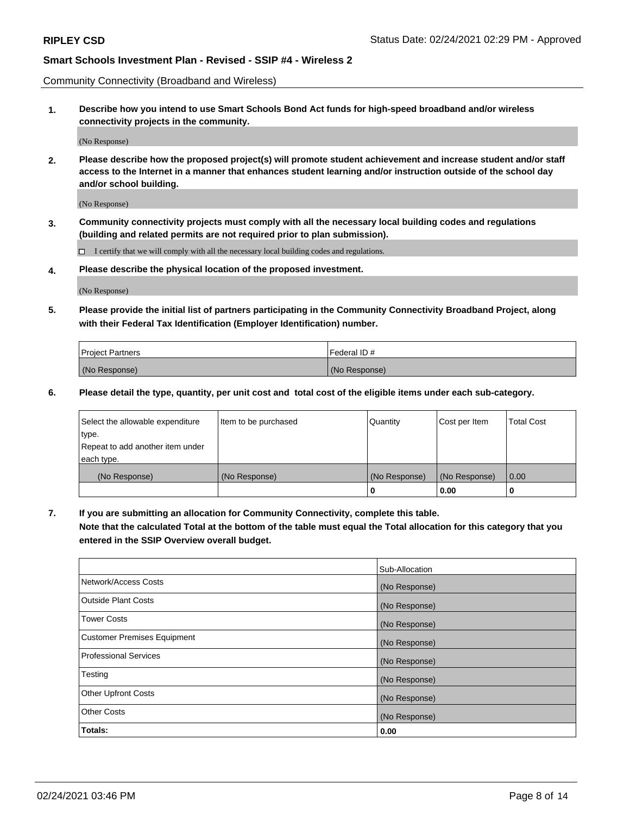Community Connectivity (Broadband and Wireless)

**1. Describe how you intend to use Smart Schools Bond Act funds for high-speed broadband and/or wireless connectivity projects in the community.**

(No Response)

**2. Please describe how the proposed project(s) will promote student achievement and increase student and/or staff access to the Internet in a manner that enhances student learning and/or instruction outside of the school day and/or school building.**

(No Response)

**3. Community connectivity projects must comply with all the necessary local building codes and regulations (building and related permits are not required prior to plan submission).**

 $\Box$  I certify that we will comply with all the necessary local building codes and regulations.

**4. Please describe the physical location of the proposed investment.**

(No Response)

**5. Please provide the initial list of partners participating in the Community Connectivity Broadband Project, along with their Federal Tax Identification (Employer Identification) number.**

| <b>Project Partners</b> | l Federal ID # |
|-------------------------|----------------|
| (No Response)           | (No Response)  |

**6. Please detail the type, quantity, per unit cost and total cost of the eligible items under each sub-category.**

| Select the allowable expenditure | Item to be purchased | Quantity      | Cost per Item | <b>Total Cost</b> |
|----------------------------------|----------------------|---------------|---------------|-------------------|
| type.                            |                      |               |               |                   |
| Repeat to add another item under |                      |               |               |                   |
| each type.                       |                      |               |               |                   |
| (No Response)                    | (No Response)        | (No Response) | (No Response) | 0.00              |
|                                  |                      | o             | 0.00          |                   |

**7. If you are submitting an allocation for Community Connectivity, complete this table.**

**Note that the calculated Total at the bottom of the table must equal the Total allocation for this category that you entered in the SSIP Overview overall budget.**

|                                    | Sub-Allocation |
|------------------------------------|----------------|
| Network/Access Costs               | (No Response)  |
| Outside Plant Costs                | (No Response)  |
| <b>Tower Costs</b>                 | (No Response)  |
| <b>Customer Premises Equipment</b> | (No Response)  |
| <b>Professional Services</b>       | (No Response)  |
| Testing                            | (No Response)  |
| <b>Other Upfront Costs</b>         | (No Response)  |
| <b>Other Costs</b>                 | (No Response)  |
| Totals:                            | 0.00           |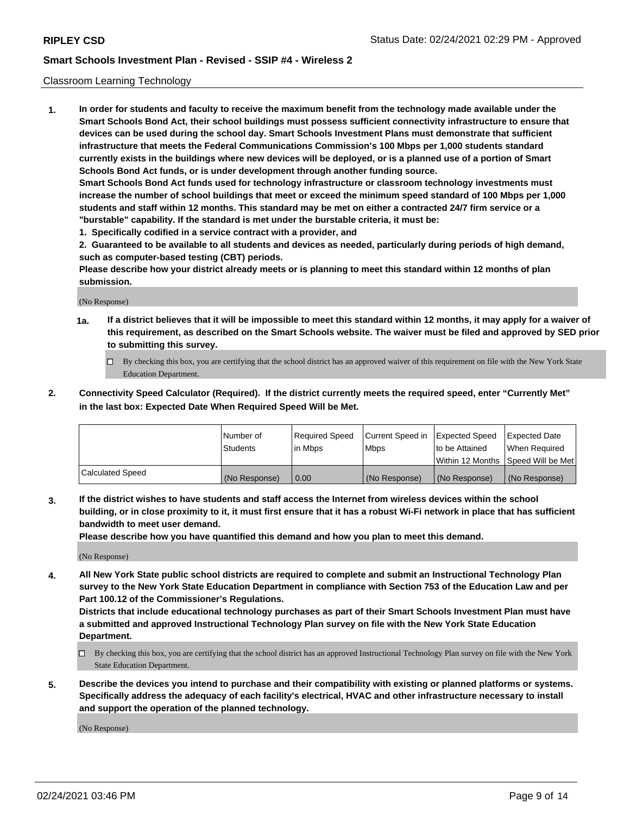## Classroom Learning Technology

**1. In order for students and faculty to receive the maximum benefit from the technology made available under the Smart Schools Bond Act, their school buildings must possess sufficient connectivity infrastructure to ensure that devices can be used during the school day. Smart Schools Investment Plans must demonstrate that sufficient infrastructure that meets the Federal Communications Commission's 100 Mbps per 1,000 students standard currently exists in the buildings where new devices will be deployed, or is a planned use of a portion of Smart Schools Bond Act funds, or is under development through another funding source. Smart Schools Bond Act funds used for technology infrastructure or classroom technology investments must increase the number of school buildings that meet or exceed the minimum speed standard of 100 Mbps per 1,000 students and staff within 12 months. This standard may be met on either a contracted 24/7 firm service or a "burstable" capability. If the standard is met under the burstable criteria, it must be:**

**1. Specifically codified in a service contract with a provider, and**

**2. Guaranteed to be available to all students and devices as needed, particularly during periods of high demand, such as computer-based testing (CBT) periods.**

**Please describe how your district already meets or is planning to meet this standard within 12 months of plan submission.**

(No Response)

- **1a. If a district believes that it will be impossible to meet this standard within 12 months, it may apply for a waiver of this requirement, as described on the Smart Schools website. The waiver must be filed and approved by SED prior to submitting this survey.**
	- By checking this box, you are certifying that the school district has an approved waiver of this requirement on file with the New York State Education Department.
- **2. Connectivity Speed Calculator (Required). If the district currently meets the required speed, enter "Currently Met" in the last box: Expected Date When Required Speed Will be Met.**

|                  | l Number of     | Required Speed | Current Speed in | <b>Expected Speed</b> | <b>Expected Date</b>                |
|------------------|-----------------|----------------|------------------|-----------------------|-------------------------------------|
|                  | <b>Students</b> | l in Mbps      | l Mbps           | to be Attained        | When Required                       |
|                  |                 |                |                  |                       | Within 12 Months  Speed Will be Met |
| Calculated Speed | (No Response)   | 0.00           | (No Response)    | l (No Response)       | (No Response)                       |

**3. If the district wishes to have students and staff access the Internet from wireless devices within the school building, or in close proximity to it, it must first ensure that it has a robust Wi-Fi network in place that has sufficient bandwidth to meet user demand.**

**Please describe how you have quantified this demand and how you plan to meet this demand.**

(No Response)

**4. All New York State public school districts are required to complete and submit an Instructional Technology Plan survey to the New York State Education Department in compliance with Section 753 of the Education Law and per Part 100.12 of the Commissioner's Regulations.**

**Districts that include educational technology purchases as part of their Smart Schools Investment Plan must have a submitted and approved Instructional Technology Plan survey on file with the New York State Education Department.**

- By checking this box, you are certifying that the school district has an approved Instructional Technology Plan survey on file with the New York State Education Department.
- **5. Describe the devices you intend to purchase and their compatibility with existing or planned platforms or systems. Specifically address the adequacy of each facility's electrical, HVAC and other infrastructure necessary to install and support the operation of the planned technology.**

(No Response)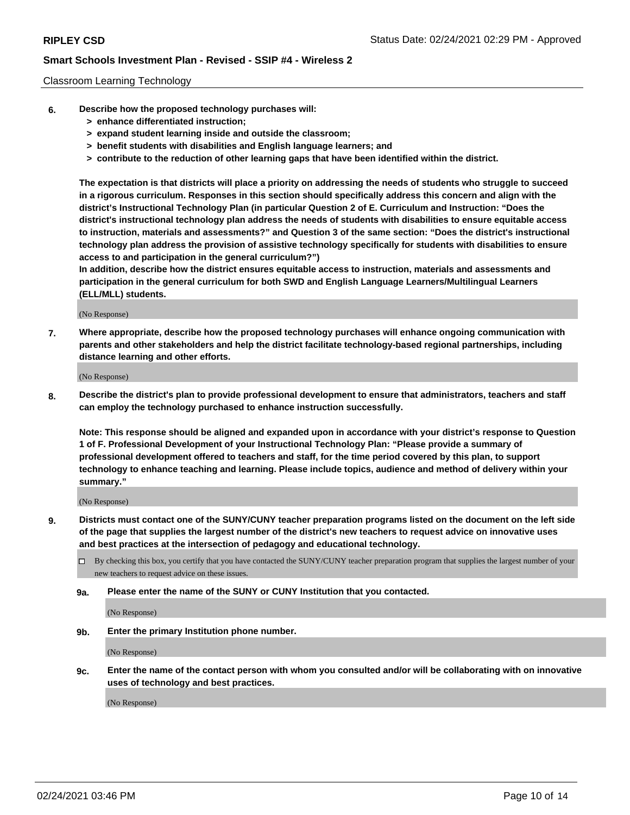## Classroom Learning Technology

- **6. Describe how the proposed technology purchases will:**
	- **> enhance differentiated instruction;**
	- **> expand student learning inside and outside the classroom;**
	- **> benefit students with disabilities and English language learners; and**
	- **> contribute to the reduction of other learning gaps that have been identified within the district.**

**The expectation is that districts will place a priority on addressing the needs of students who struggle to succeed in a rigorous curriculum. Responses in this section should specifically address this concern and align with the district's Instructional Technology Plan (in particular Question 2 of E. Curriculum and Instruction: "Does the district's instructional technology plan address the needs of students with disabilities to ensure equitable access to instruction, materials and assessments?" and Question 3 of the same section: "Does the district's instructional technology plan address the provision of assistive technology specifically for students with disabilities to ensure access to and participation in the general curriculum?")**

**In addition, describe how the district ensures equitable access to instruction, materials and assessments and participation in the general curriculum for both SWD and English Language Learners/Multilingual Learners (ELL/MLL) students.**

(No Response)

**7. Where appropriate, describe how the proposed technology purchases will enhance ongoing communication with parents and other stakeholders and help the district facilitate technology-based regional partnerships, including distance learning and other efforts.**

(No Response)

**8. Describe the district's plan to provide professional development to ensure that administrators, teachers and staff can employ the technology purchased to enhance instruction successfully.**

**Note: This response should be aligned and expanded upon in accordance with your district's response to Question 1 of F. Professional Development of your Instructional Technology Plan: "Please provide a summary of professional development offered to teachers and staff, for the time period covered by this plan, to support technology to enhance teaching and learning. Please include topics, audience and method of delivery within your summary."**

(No Response)

- **9. Districts must contact one of the SUNY/CUNY teacher preparation programs listed on the document on the left side of the page that supplies the largest number of the district's new teachers to request advice on innovative uses and best practices at the intersection of pedagogy and educational technology.**
	- By checking this box, you certify that you have contacted the SUNY/CUNY teacher preparation program that supplies the largest number of your new teachers to request advice on these issues.
	- **9a. Please enter the name of the SUNY or CUNY Institution that you contacted.**

(No Response)

**9b. Enter the primary Institution phone number.**

(No Response)

**9c. Enter the name of the contact person with whom you consulted and/or will be collaborating with on innovative uses of technology and best practices.**

(No Response)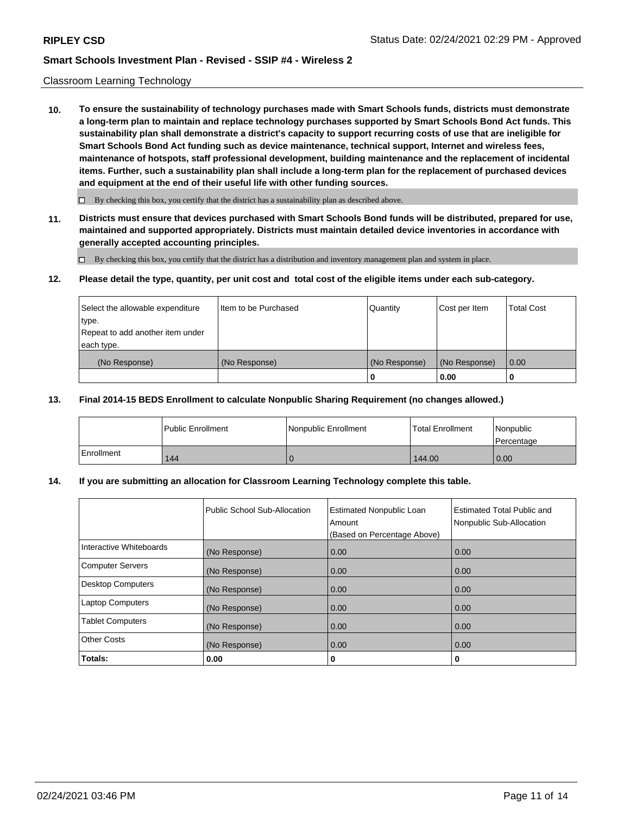## Classroom Learning Technology

**10. To ensure the sustainability of technology purchases made with Smart Schools funds, districts must demonstrate a long-term plan to maintain and replace technology purchases supported by Smart Schools Bond Act funds. This sustainability plan shall demonstrate a district's capacity to support recurring costs of use that are ineligible for Smart Schools Bond Act funding such as device maintenance, technical support, Internet and wireless fees, maintenance of hotspots, staff professional development, building maintenance and the replacement of incidental items. Further, such a sustainability plan shall include a long-term plan for the replacement of purchased devices and equipment at the end of their useful life with other funding sources.**

 $\Box$  By checking this box, you certify that the district has a sustainability plan as described above.

**11. Districts must ensure that devices purchased with Smart Schools Bond funds will be distributed, prepared for use, maintained and supported appropriately. Districts must maintain detailed device inventories in accordance with generally accepted accounting principles.**

By checking this box, you certify that the district has a distribution and inventory management plan and system in place.

### **12. Please detail the type, quantity, per unit cost and total cost of the eligible items under each sub-category.**

| Select the allowable expenditure<br>type.<br>Repeat to add another item under | Item to be Purchased | Quantity      | Cost per Item | <b>Total Cost</b> |
|-------------------------------------------------------------------------------|----------------------|---------------|---------------|-------------------|
| each type.<br>(No Response)                                                   | (No Response)        | (No Response) | (No Response) | 0.00              |
|                                                                               |                      | 0             | 0.00          |                   |

### **13. Final 2014-15 BEDS Enrollment to calculate Nonpublic Sharing Requirement (no changes allowed.)**

|            | <b>Public Enrollment</b> | Nonpublic Enrollment | <b>Total Enrollment</b> | Nonpublic<br>l Percentage |
|------------|--------------------------|----------------------|-------------------------|---------------------------|
| Enrollment | 144                      |                      | 144.00                  | 0.00                      |

## **14. If you are submitting an allocation for Classroom Learning Technology complete this table.**

|                         | Public School Sub-Allocation | <b>Estimated Nonpublic Loan</b><br>Amount<br>(Based on Percentage Above) | Estimated Total Public and<br>Nonpublic Sub-Allocation |
|-------------------------|------------------------------|--------------------------------------------------------------------------|--------------------------------------------------------|
| Interactive Whiteboards | (No Response)                | 0.00                                                                     | 0.00                                                   |
| Computer Servers        | (No Response)                | 0.00                                                                     | 0.00                                                   |
| Desktop Computers       | (No Response)                | 0.00                                                                     | 0.00                                                   |
| <b>Laptop Computers</b> | (No Response)                | 0.00                                                                     | 0.00                                                   |
| <b>Tablet Computers</b> | (No Response)                | 0.00                                                                     | 0.00                                                   |
| <b>Other Costs</b>      | (No Response)                | 0.00                                                                     | 0.00                                                   |
| Totals:                 | 0.00                         | 0                                                                        | 0                                                      |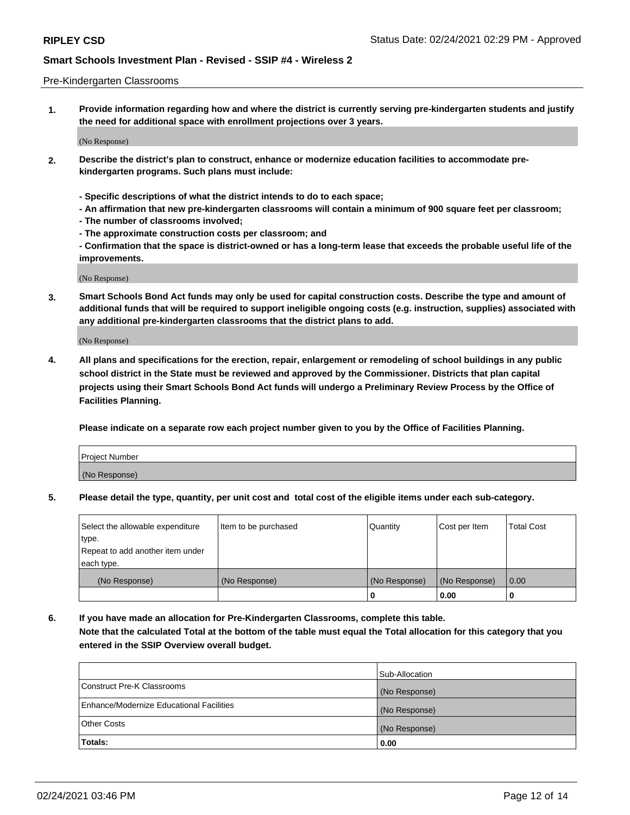### Pre-Kindergarten Classrooms

**1. Provide information regarding how and where the district is currently serving pre-kindergarten students and justify the need for additional space with enrollment projections over 3 years.**

(No Response)

- **2. Describe the district's plan to construct, enhance or modernize education facilities to accommodate prekindergarten programs. Such plans must include:**
	- **Specific descriptions of what the district intends to do to each space;**
	- **An affirmation that new pre-kindergarten classrooms will contain a minimum of 900 square feet per classroom;**
	- **The number of classrooms involved;**
	- **The approximate construction costs per classroom; and**
	- **Confirmation that the space is district-owned or has a long-term lease that exceeds the probable useful life of the improvements.**

(No Response)

**3. Smart Schools Bond Act funds may only be used for capital construction costs. Describe the type and amount of additional funds that will be required to support ineligible ongoing costs (e.g. instruction, supplies) associated with any additional pre-kindergarten classrooms that the district plans to add.**

(No Response)

**4. All plans and specifications for the erection, repair, enlargement or remodeling of school buildings in any public school district in the State must be reviewed and approved by the Commissioner. Districts that plan capital projects using their Smart Schools Bond Act funds will undergo a Preliminary Review Process by the Office of Facilities Planning.**

**Please indicate on a separate row each project number given to you by the Office of Facilities Planning.**

| Project Number |  |
|----------------|--|
| (No Response)  |  |
|                |  |

**5. Please detail the type, quantity, per unit cost and total cost of the eligible items under each sub-category.**

| Select the allowable expenditure | Item to be purchased | Quantity      | Cost per Item | <b>Total Cost</b> |
|----------------------------------|----------------------|---------------|---------------|-------------------|
| 'type.                           |                      |               |               |                   |
| Repeat to add another item under |                      |               |               |                   |
| each type.                       |                      |               |               |                   |
| (No Response)                    | (No Response)        | (No Response) | (No Response) | 0.00              |
|                                  |                      | U             | 0.00          |                   |

**6. If you have made an allocation for Pre-Kindergarten Classrooms, complete this table. Note that the calculated Total at the bottom of the table must equal the Total allocation for this category that you entered in the SSIP Overview overall budget.**

| Totals:                                  | 0.00           |
|------------------------------------------|----------------|
| <b>Other Costs</b>                       | (No Response)  |
| Enhance/Modernize Educational Facilities | (No Response)  |
| Construct Pre-K Classrooms               | (No Response)  |
|                                          | Sub-Allocation |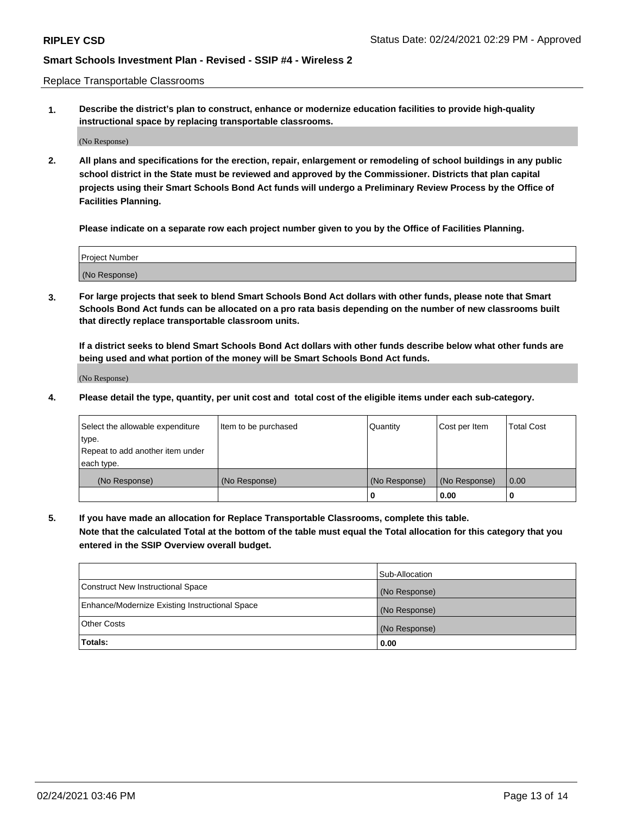Replace Transportable Classrooms

**1. Describe the district's plan to construct, enhance or modernize education facilities to provide high-quality instructional space by replacing transportable classrooms.**

(No Response)

**2. All plans and specifications for the erection, repair, enlargement or remodeling of school buildings in any public school district in the State must be reviewed and approved by the Commissioner. Districts that plan capital projects using their Smart Schools Bond Act funds will undergo a Preliminary Review Process by the Office of Facilities Planning.**

**Please indicate on a separate row each project number given to you by the Office of Facilities Planning.**

| Project Number |  |
|----------------|--|
|                |  |
| (No Response)  |  |

**3. For large projects that seek to blend Smart Schools Bond Act dollars with other funds, please note that Smart Schools Bond Act funds can be allocated on a pro rata basis depending on the number of new classrooms built that directly replace transportable classroom units.**

**If a district seeks to blend Smart Schools Bond Act dollars with other funds describe below what other funds are being used and what portion of the money will be Smart Schools Bond Act funds.**

(No Response)

**4. Please detail the type, quantity, per unit cost and total cost of the eligible items under each sub-category.**

| Select the allowable expenditure | Item to be purchased | Quantity      | Cost per Item | Total Cost |
|----------------------------------|----------------------|---------------|---------------|------------|
| ∣type.                           |                      |               |               |            |
| Repeat to add another item under |                      |               |               |            |
| each type.                       |                      |               |               |            |
| (No Response)                    | (No Response)        | (No Response) | (No Response) | 0.00       |
|                                  |                      | u             | 0.00          |            |

**5. If you have made an allocation for Replace Transportable Classrooms, complete this table. Note that the calculated Total at the bottom of the table must equal the Total allocation for this category that you entered in the SSIP Overview overall budget.**

|                                                | Sub-Allocation |
|------------------------------------------------|----------------|
| Construct New Instructional Space              | (No Response)  |
| Enhance/Modernize Existing Instructional Space | (No Response)  |
| Other Costs                                    | (No Response)  |
| Totals:                                        | 0.00           |